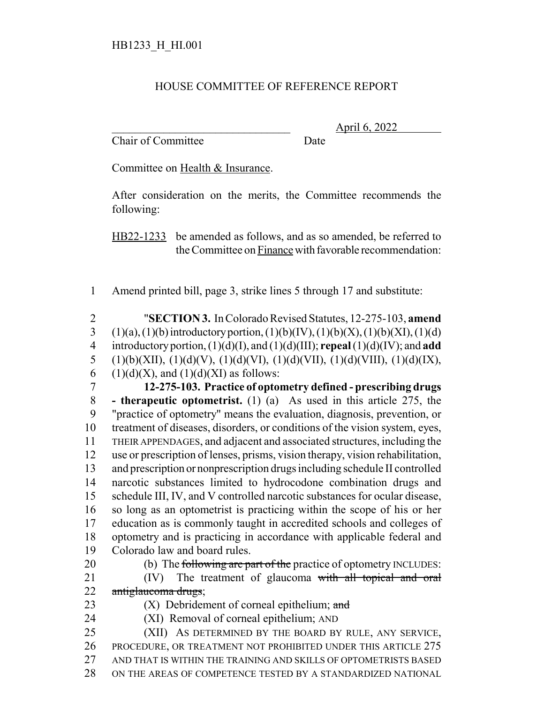## HOUSE COMMITTEE OF REFERENCE REPORT

Chair of Committee Date

\_\_\_\_\_\_\_\_\_\_\_\_\_\_\_\_\_\_\_\_\_\_\_\_\_\_\_\_\_\_\_ April 6, 2022

Committee on Health & Insurance.

After consideration on the merits, the Committee recommends the following:

HB22-1233 be amended as follows, and as so amended, be referred to the Committee on Finance with favorable recommendation:

- 1 Amend printed bill, page 3, strike lines 5 through 17 and substitute:
- 2 "**SECTION 3.** In Colorado Revised Statutes, 12-275-103, **amend** 3 (1)(a), (1)(b) introductory portion, (1)(b)(IV), (1)(b)(X), (1)(b)(XI), (1)(d) 4 introductory portion, (1)(d)(I), and (1)(d)(III); **repeal** (1)(d)(IV); and **add** 5 (1)(b)(XII), (1)(d)(V), (1)(d)(VI), (1)(d)(VII), (1)(d)(VIII), (1)(d)(IX), 6 (1)(d)(X), and (1)(d)(XI) as follows:
- 7 **12-275-103. Practice of optometry defined prescribing drugs** 8 **- therapeutic optometrist.** (1) (a) As used in this article 275, the 9 "practice of optometry" means the evaluation, diagnosis, prevention, or 10 treatment of diseases, disorders, or conditions of the vision system, eyes, 11 THEIR APPENDAGES, and adjacent and associated structures, including the 12 use or prescription of lenses, prisms, vision therapy, vision rehabilitation, 13 and prescription or nonprescription drugs including schedule II controlled 14 narcotic substances limited to hydrocodone combination drugs and 15 schedule III, IV, and V controlled narcotic substances for ocular disease, 16 so long as an optometrist is practicing within the scope of his or her 17 education as is commonly taught in accredited schools and colleges of 18 optometry and is practicing in accordance with applicable federal and 19 Colorado law and board rules.
- 20 (b) The following are part of the practice of optometry INCLUDES: 21 (IV) The treatment of glaucoma with all topical and oral
- 22 antiglaucoma drugs; 23  $(X)$  Debridement of corneal epithelium; and
- 24 (XI) Removal of corneal epithelium; AND
- 25 (XII) AS DETERMINED BY THE BOARD BY RULE, ANY SERVICE, 26 PROCEDURE, OR TREATMENT NOT PROHIBITED UNDER THIS ARTICLE 275 27 AND THAT IS WITHIN THE TRAINING AND SKILLS OF OPTOMETRISTS BASED 28 ON THE AREAS OF COMPETENCE TESTED BY A STANDARDIZED NATIONAL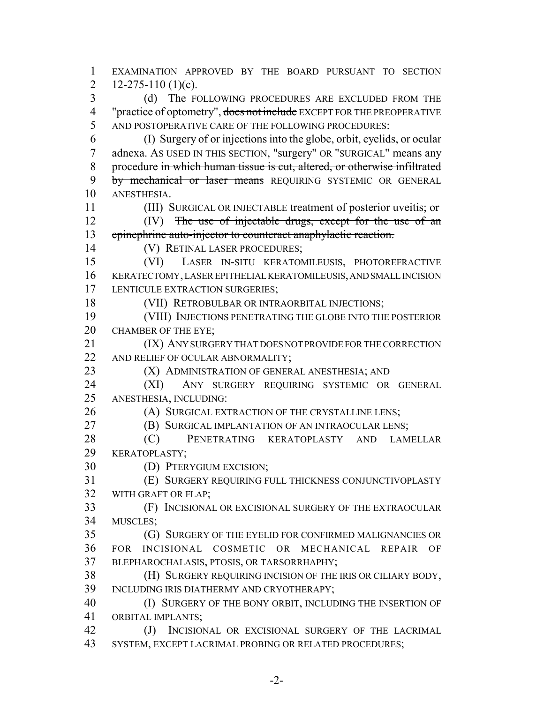EXAMINATION APPROVED BY THE BOARD PURSUANT TO SECTION 2 12-275-110 (1)(c). (d) The FOLLOWING PROCEDURES ARE EXCLUDED FROM THE 4 "practice of optometry", does not include EXCEPT FOR THE PREOPERATIVE AND POSTOPERATIVE CARE OF THE FOLLOWING PROCEDURES: (I) Surgery of  $\sigma r$  injections into the globe, orbit, eyelids, or ocular adnexa. AS USED IN THIS SECTION, "surgery" OR "SURGICAL" means any procedure in which human tissue is cut, altered, or otherwise infiltrated 9 by mechanical or laser means REQUIRING SYSTEMIC OR GENERAL ANESTHESIA. 11 (III) SURGICAL OR INJECTABLE treatment of posterior uveitis; or 12 (IV) The use of injectable drugs, except for the use of an epinephrine auto-injector to counteract anaphylactic reaction. (V) RETINAL LASER PROCEDURES; (VI) LASER IN-SITU KERATOMILEUSIS, PHOTOREFRACTIVE KERATECTOMY, LASER EPITHELIAL KERATOMILEUSIS, AND SMALL INCISION 17 LENTICULE EXTRACTION SURGERIES; (VII) RETROBULBAR OR INTRAORBITAL INJECTIONS; (VIII) INJECTIONS PENETRATING THE GLOBE INTO THE POSTERIOR CHAMBER OF THE EYE; (IX) ANY SURGERY THAT DOES NOT PROVIDE FOR THE CORRECTION 22 AND RELIEF OF OCULAR ABNORMALITY; **(X) ADMINISTRATION OF GENERAL ANESTHESIA; AND**  (XI) ANY SURGERY REQUIRING SYSTEMIC OR GENERAL ANESTHESIA, INCLUDING: 26 (A) SURGICAL EXTRACTION OF THE CRYSTALLINE LENS; (B) SURGICAL IMPLANTATION OF AN INTRAOCULAR LENS; (C) PENETRATING KERATOPLASTY AND LAMELLAR KERATOPLASTY; (D) PTERYGIUM EXCISION; (E) SURGERY REQUIRING FULL THICKNESS CONJUNCTIVOPLASTY WITH GRAFT OR FLAP; (F) INCISIONAL OR EXCISIONAL SURGERY OF THE EXTRAOCULAR MUSCLES; (G) SURGERY OF THE EYELID FOR CONFIRMED MALIGNANCIES OR FOR INCISIONAL COSMETIC OR MECHANICAL REPAIR OF BLEPHAROCHALASIS, PTOSIS, OR TARSORRHAPHY; (H) SURGERY REQUIRING INCISION OF THE IRIS OR CILIARY BODY, INCLUDING IRIS DIATHERMY AND CRYOTHERAPY; (I) SURGERY OF THE BONY ORBIT, INCLUDING THE INSERTION OF ORBITAL IMPLANTS; 42 (J) INCISIONAL OR EXCISIONAL SURGERY OF THE LACRIMAL

SYSTEM, EXCEPT LACRIMAL PROBING OR RELATED PROCEDURES;